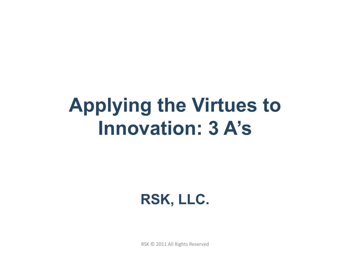# **Applying the Virtues to Innovation: 3 A's**

**RSK, LLC.** 

RSK © 2011 All Rights Reserved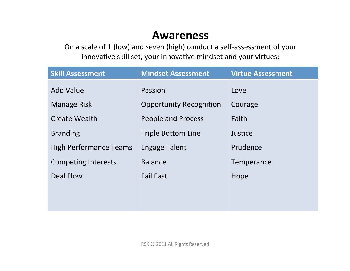#### **Awareness**

On a scale of 1 (low) and seven (high) conduct a self-assessment of your innovative skill set, your innovative mindset and your virtues:

| <b>Skill Assessment</b>       | <b>Mindset Assessment</b>      | <b>Virtue Assessment</b> |  |
|-------------------------------|--------------------------------|--------------------------|--|
| <b>Add Value</b>              | Passion                        | Love                     |  |
| <b>Manage Risk</b>            | <b>Opportunity Recognition</b> | Courage                  |  |
| <b>Create Wealth</b>          | People and Process             | Faith                    |  |
| <b>Branding</b>               | <b>Triple Bottom Line</b>      | Justice                  |  |
| <b>High Performance Teams</b> | <b>Engage Talent</b>           | Prudence                 |  |
| <b>Competing Interests</b>    | <b>Balance</b>                 | Temperance               |  |
| <b>Deal Flow</b>              | <b>Fail Fast</b>               | Hope                     |  |
|                               |                                |                          |  |
|                               |                                |                          |  |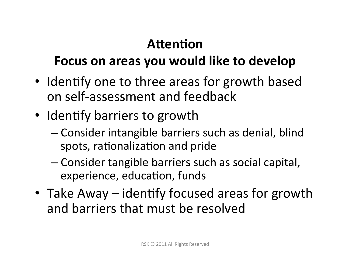## Attention

### Focus on areas you would like to develop

- Identify one to three areas for growth based on self-assessment and feedback
- Identify barriers to growth
	- $-$  Consider intangible barriers such as denial, blind spots, rationalization and pride
	- Consider tangible barriers such as social capital, experience, education, funds
- Take Away identify focused areas for growth and barriers that must be resolved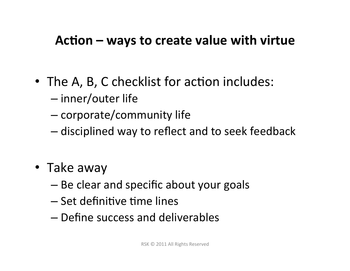#### Action – ways to create value with virtue

- The A, B, C checklist for action includes:
	- $-$  inner/outer life
	- $-$  corporate/community life
	- $-$  disciplined way to reflect and to seek feedback
- Take away
	- $-$  Be clear and specific about your goals
	- $-$  Set definitive time lines
	- $-$  Define success and deliverables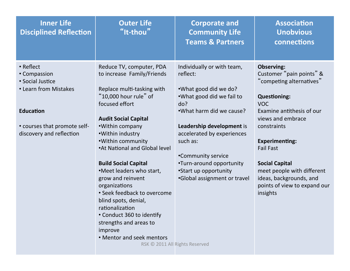| <b>Inner Life</b><br><b>Disciplined Reflection</b>                     | <b>Outer Life</b><br>"It-thou"                                                                                                                                                                                                                                         | <b>Corporate and</b><br><b>Community Life</b><br><b>Teams &amp; Partners</b>                                        | <b>Association</b><br><b>Unobvious</b><br>connections                                                                      |
|------------------------------------------------------------------------|------------------------------------------------------------------------------------------------------------------------------------------------------------------------------------------------------------------------------------------------------------------------|---------------------------------------------------------------------------------------------------------------------|----------------------------------------------------------------------------------------------------------------------------|
| • Reflect<br>• Compassion<br>• Social Justice<br>• Learn from Mistakes | Reduce TV, computer, PDA<br>to increase Family/Friends<br>Replace multi-tasking with<br>"10,000 hour rule" of                                                                                                                                                          | Individually or with team,<br>reflect:<br>•What good did we do?<br>.What good did we fail to                        | <b>Observing:</b><br>Customer "pain points" &<br>"competing alternatives"<br><b>Questioning:</b>                           |
| <b>Education</b><br>• courses that promote self-                       | focused effort<br><b>Audit Social Capital</b><br>•Within company                                                                                                                                                                                                       | do?<br>.What harm did we cause?<br>Leadership development is                                                        | <b>VOC</b><br>Examine antithesis of our<br>views and embrace<br>constraints                                                |
| discovery and reflection                                               | •Within industry<br>• Within community<br>•At National and Global level                                                                                                                                                                                                | accelerated by experiences<br>such as:<br>•Community service                                                        | <b>Experimenting:</b><br><b>Fail Fast</b>                                                                                  |
|                                                                        | <b>Build Social Capital</b><br>.Meet leaders who start,<br>grow and reinvent<br>organizations<br>• Seek feedback to overcome<br>blind spots, denial,<br>rationalization<br>• Conduct 360 to identify<br>strengths and areas to<br>improve<br>• Mentor and seek mentors | •Turn-around opportunity<br>•Start up opportunity<br>•Global assignment or travel<br>RSK © 2011 All Rights Reserved | <b>Social Capital</b><br>meet people with different<br>ideas, backgrounds, and<br>points of view to expand our<br>insights |